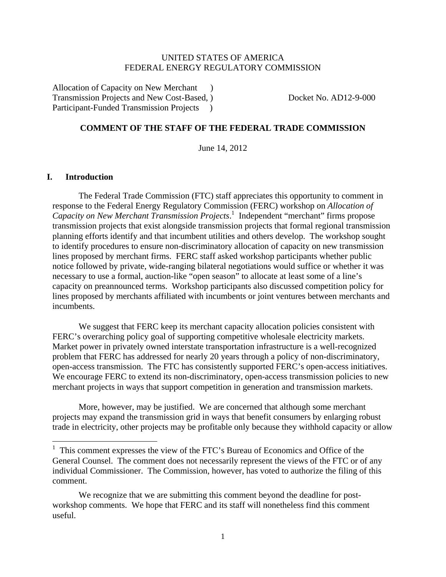## UNITED STATES OF AMERICA FEDERAL ENERGY REGULATORY COMMISSION

Allocation of Capacity on New Merchant ) Transmission Projects and New Cost-Based, ) Docket No. AD12-9-000 Participant-Funded Transmission Projects )

## **COMMENT OF THE STAFF OF THE FEDERAL TRADE COMMISSION**

June 14, 2012

### **I. Introduction**

The Federal Trade Commission (FTC) staff appreciates this opportunity to comment in response to the Federal Energy Regulatory Commission (FERC) workshop on *Allocation of Capacity on New Merchant Transmission Projects*. 1 Independent "merchant" firms propose transmission projects that exist alongside transmission projects that formal regional transmission planning efforts identify and that incumbent utilities and others develop. The workshop sought to identify procedures to ensure non-discriminatory allocation of capacity on new transmission lines proposed by merchant firms. FERC staff asked workshop participants whether public notice followed by private, wide-ranging bilateral negotiations would suffice or whether it was necessary to use a formal, auction-like "open season" to allocate at least some of a line's capacity on preannounced terms. Workshop participants also discussed competition policy for lines proposed by merchants affiliated with incumbents or joint ventures between merchants and incumbents.

We suggest that FERC keep its merchant capacity allocation policies consistent with FERC's overarching policy goal of supporting competitive wholesale electricity markets. Market power in privately owned interstate transportation infrastructure is a well-recognized problem that FERC has addressed for nearly 20 years through a policy of non-discriminatory, open-access transmission. The FTC has consistently supported FERC's open-access initiatives. We encourage FERC to extend its non-discriminatory, open-access transmission policies to new merchant projects in ways that support competition in generation and transmission markets.

More, however, may be justified. We are concerned that although some merchant projects may expand the transmission grid in ways that benefit consumers by enlarging robust trade in electricity, other projects may be profitable only because they withhold capacity or allow

<sup>&</sup>lt;sup>1</sup> This comment expresses the view of the FTC's Bureau of Economics and Office of the General Counsel. The comment does not necessarily represent the views of the FTC or of any individual Commissioner. The Commission, however, has voted to authorize the filing of this comment.

We recognize that we are submitting this comment beyond the deadline for postworkshop comments. We hope that FERC and its staff will nonetheless find this comment useful.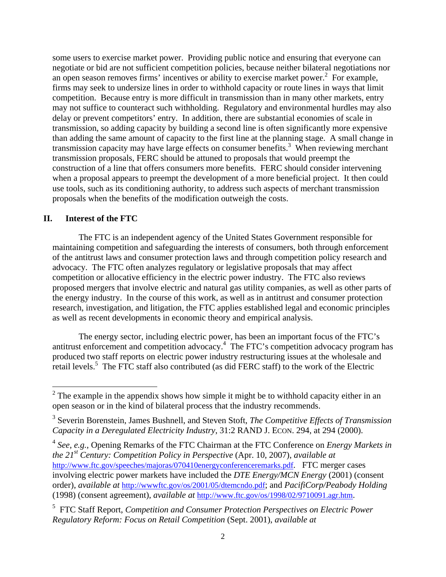some users to exercise market power. Providing public notice and ensuring that everyone can negotiate or bid are not sufficient competition policies, because neither bilateral negotiations nor an open season removes firms' incentives or ability to exercise market power. $2$  For example, firms may seek to undersize lines in order to withhold capacity or route lines in ways that limit competition. Because entry is more difficult in transmission than in many other markets, entry may not suffice to counteract such withholding. Regulatory and environmental hurdles may also delay or prevent competitors' entry. In addition, there are substantial economies of scale in transmission, so adding capacity by building a second line is often significantly more expensive than adding the same amount of capacity to the first line at the planning stage. A small change in transmission capacity may have large effects on consumer benefits.<sup>3</sup> When reviewing merchant transmission proposals, FERC should be attuned to proposals that would preempt the construction of a line that offers consumers more benefits. FERC should consider intervening when a proposal appears to preempt the development of a more beneficial project. It then could use tools, such as its conditioning authority, to address such aspects of merchant transmission proposals when the benefits of the modification outweigh the costs.

# **II. Interest of the FTC**

The FTC is an independent agency of the United States Government responsible for maintaining competition and safeguarding the interests of consumers, both through enforcement of the antitrust laws and consumer protection laws and through competition policy research and advocacy. The FTC often analyzes regulatory or legislative proposals that may affect competition or allocative efficiency in the electric power industry. The FTC also reviews proposed mergers that involve electric and natural gas utility companies, as well as other parts of the energy industry. In the course of this work, as well as in antitrust and consumer protection research, investigation, and litigation, the FTC applies established legal and economic principles as well as recent developments in economic theory and empirical analysis.

 The energy sector, including electric power, has been an important focus of the FTC's antitrust enforcement and competition advocacy.<sup>4</sup> The FTC's competition advocacy program has produced two staff reports on electric power industry restructuring issues at the wholesale and retail levels.<sup>5</sup> The FTC staff also contributed (as did FERC staff) to the work of the Electric

<sup>4</sup> *See*, *e.g.*, Opening Remarks of the FTC Chairman at the FTC Conference on *Energy Markets in the 21st Century: Competition Policy in Perspective* (Apr. 10, 2007), *available at* http://www.ftc.gov/speeches/majoras/070410energyconferenceremarks.pdf. FTC merger cases involving electric power markets have included the *DTE Energy/MCN Energy* (2001) (consent order), *available at* http://wwwftc.gov/os/2001/05/dtemcndo.pdf; and *PacifiCorp/Peabody Holding* (1998) (consent agreement), *available at* http://www.ftc.gov/os/1998/02/9710091.agr.htm.

5 FTC Staff Report, *Competition and Consumer Protection Perspectives on Electric Power Regulatory Reform: Focus on Retail Competition* (Sept. 2001), *available at*

 $2^2$  The example in the appendix shows how simple it might be to withhold capacity either in an open season or in the kind of bilateral process that the industry recommends.

<sup>3</sup> Severin Borenstein, James Bushnell, and Steven Stoft, *The Competitive Effects of Transmission Capacity in a Deregulated Electricity Industry*, 31:2 RAND J. ECON. 294, at 294 (2000).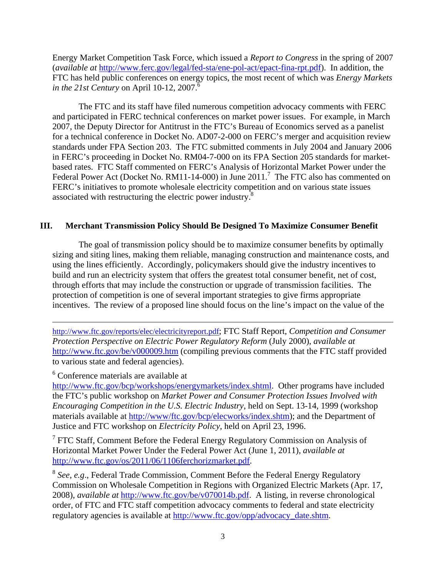Energy Market Competition Task Force, which issued a *Report to Congress* in the spring of 2007 (*available at* http://www.ferc.gov/legal/fed-sta/ene-pol-act/epact-fina-rpt.pdf). In addition, the FTC has held public conferences on energy topics, the most recent of which was *Energy Markets in the 21st Century* on April 10-12, 2007.<sup>6</sup>

 The FTC and its staff have filed numerous competition advocacy comments with FERC and participated in FERC technical conferences on market power issues. For example, in March 2007, the Deputy Director for Antitrust in the FTC's Bureau of Economics served as a panelist for a technical conference in Docket No. AD07-2-000 on FERC's merger and acquisition review standards under FPA Section 203. The FTC submitted comments in July 2004 and January 2006 in FERC's proceeding in Docket No. RM04-7-000 on its FPA Section 205 standards for marketbased rates. FTC Staff commented on FERC's Analysis of Horizontal Market Power under the Federal Power Act (Docket No. RM11-14-000) in June 2011.<sup>7</sup> The FTC also has commented on FERC's initiatives to promote wholesale electricity competition and on various state issues associated with restructuring the electric power industry.<sup>8</sup>

# **III. Merchant Transmission Policy Should Be Designed To Maximize Consumer Benefit**

The goal of transmission policy should be to maximize consumer benefits by optimally sizing and siting lines, making them reliable, managing construction and maintenance costs, and using the lines efficiently. Accordingly, policymakers should give the industry incentives to build and run an electricity system that offers the greatest total consumer benefit, net of cost, through efforts that may include the construction or upgrade of transmission facilities. The protection of competition is one of several important strategies to give firms appropriate incentives. The review of a proposed line should focus on the line's impact on the value of the

http://www.ftc.gov/reports/elec/electricityreport.pdf; FTC Staff Report, *Competition and Consumer Protection Perspective on Electric Power Regulatory Reform* (July 2000), *available at* http://www.ftc.gov/be/v000009.htm (compiling previous comments that the FTC staff provided to various state and federal agencies).

<u> 1989 - Johann Stoff, amerikansk politiker (d. 1989)</u>

6 Conference materials are available at

http://www.ftc.gov/bcp/workshops/energymarkets/index.shtml. Other programs have included the FTC's public workshop on *Market Power and Consumer Protection Issues Involved with Encouraging Competition in the U.S. Electric Industry*, held on Sept. 13-14, 1999 (workshop materials available at http://www/ftc.gov/bcp/elecworks/index.shtm); and the Department of Justice and FTC workshop on *Electricity Policy*, held on April 23, 1996.

 $7$  FTC Staff, Comment Before the Federal Energy Regulatory Commission on Analysis of Horizontal Market Power Under the Federal Power Act (June 1, 2011), *available at* http://www.ftc.gov/os/2011/06/1106ferchorizmarket.pdf.

<sup>8</sup> *See*, *e.g*., Federal Trade Commission, Comment Before the Federal Energy Regulatory Commission on Wholesale Competition in Regions with Organized Electric Markets (Apr. 17, 2008), *available at* http://www.ftc.gov/be/v070014b.pdf. A listing, in reverse chronological order, of FTC and FTC staff competition advocacy comments to federal and state electricity regulatory agencies is available at http://www.ftc.gov/opp/advocacy\_date.shtm.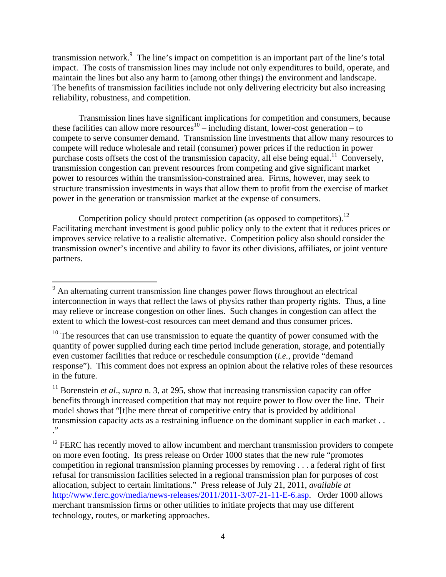transmission network.<sup>9</sup> The line's impact on competition is an important part of the line's total impact. The costs of transmission lines may include not only expenditures to build, operate, and maintain the lines but also any harm to (among other things) the environment and landscape. The benefits of transmission facilities include not only delivering electricity but also increasing reliability, robustness, and competition.

Transmission lines have significant implications for competition and consumers, because these facilities can allow more resources<sup>10</sup> – including distant, lower-cost generation – to compete to serve consumer demand. Transmission line investments that allow many resources to compete will reduce wholesale and retail (consumer) power prices if the reduction in power purchase costs offsets the cost of the transmission capacity, all else being equal.<sup>11</sup> Conversely, transmission congestion can prevent resources from competing and give significant market power to resources within the transmission-constrained area. Firms, however, may seek to structure transmission investments in ways that allow them to profit from the exercise of market power in the generation or transmission market at the expense of consumers.

Competition policy should protect competition (as opposed to competitors).<sup>12</sup> Facilitating merchant investment is good public policy only to the extent that it reduces prices or improves service relative to a realistic alternative. Competition policy also should consider the transmission owner's incentive and ability to favor its other divisions, affiliates, or joint venture partners.

<sup>&</sup>lt;sup>9</sup> An alternating current transmission line changes power flows throughout an electrical interconnection in ways that reflect the laws of physics rather than property rights. Thus, a line may relieve or increase congestion on other lines. Such changes in congestion can affect the extent to which the lowest-cost resources can meet demand and thus consumer prices.

 $10$  The resources that can use transmission to equate the quantity of power consumed with the quantity of power supplied during each time period include generation, storage, and potentially even customer facilities that reduce or reschedule consumption (*i.e.*, provide "demand response"). This comment does not express an opinion about the relative roles of these resources in the future.

<sup>&</sup>lt;sup>11</sup> Borenstein *et al.*, *supra* n. 3, at 295, show that increasing transmission capacity can offer benefits through increased competition that may not require power to flow over the line. Their model shows that "[t]he mere threat of competitive entry that is provided by additional transmission capacity acts as a restraining influence on the dominant supplier in each market . . ."

<sup>&</sup>lt;sup>12</sup> FERC has recently moved to allow incumbent and merchant transmission providers to compete on more even footing. Its press release on Order 1000 states that the new rule "promotes competition in regional transmission planning processes by removing . . . a federal right of first refusal for transmission facilities selected in a regional transmission plan for purposes of cost allocation, subject to certain limitations." Press release of July 21, 2011, *available at* http://www.ferc.gov/media/news-releases/2011/2011-3/07-21-11-E-6.asp. Order 1000 allows merchant transmission firms or other utilities to initiate projects that may use different technology, routes, or marketing approaches.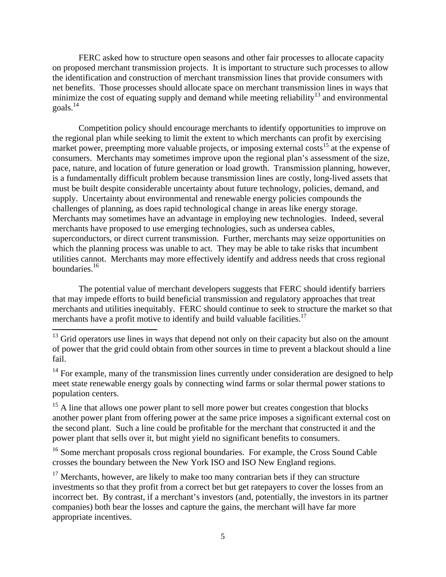FERC asked how to structure open seasons and other fair processes to allocate capacity on proposed merchant transmission projects. It is important to structure such processes to allow the identification and construction of merchant transmission lines that provide consumers with net benefits. Those processes should allocate space on merchant transmission lines in ways that minimize the cost of equating supply and demand while meeting reliability<sup>13</sup> and environmental goals. $^{14}$ 

Competition policy should encourage merchants to identify opportunities to improve on the regional plan while seeking to limit the extent to which merchants can profit by exercising market power, preempting more valuable projects, or imposing external costs<sup>15</sup> at the expense of consumers. Merchants may sometimes improve upon the regional plan's assessment of the size, pace, nature, and location of future generation or load growth. Transmission planning, however, is a fundamentally difficult problem because transmission lines are costly, long-lived assets that must be built despite considerable uncertainty about future technology, policies, demand, and supply. Uncertainty about environmental and renewable energy policies compounds the challenges of planning, as does rapid technological change in areas like energy storage. Merchants may sometimes have an advantage in employing new technologies. Indeed, several merchants have proposed to use emerging technologies, such as undersea cables, superconductors, or direct current transmission. Further, merchants may seize opportunities on which the planning process was unable to act. They may be able to take risks that incumbent utilities cannot. Merchants may more effectively identify and address needs that cross regional boundaries.16

The potential value of merchant developers suggests that FERC should identify barriers that may impede efforts to build beneficial transmission and regulatory approaches that treat merchants and utilities inequitably. FERC should continue to seek to structure the market so that merchants have a profit motive to identify and build valuable facilities.<sup>17</sup>

 $13$  Grid operators use lines in ways that depend not only on their capacity but also on the amount of power that the grid could obtain from other sources in time to prevent a blackout should a line fail.

 $14$  For example, many of the transmission lines currently under consideration are designed to help meet state renewable energy goals by connecting wind farms or solar thermal power stations to population centers.

<sup>&</sup>lt;sup>15</sup> A line that allows one power plant to sell more power but creates congestion that blocks another power plant from offering power at the same price imposes a significant external cost on the second plant. Such a line could be profitable for the merchant that constructed it and the power plant that sells over it, but might yield no significant benefits to consumers.

<sup>&</sup>lt;sup>16</sup> Some merchant proposals cross regional boundaries. For example, the Cross Sound Cable crosses the boundary between the New York ISO and ISO New England regions.

 $17$  Merchants, however, are likely to make too many contrarian bets if they can structure investments so that they profit from a correct bet but get ratepayers to cover the losses from an incorrect bet. By contrast, if a merchant's investors (and, potentially, the investors in its partner companies) both bear the losses and capture the gains, the merchant will have far more appropriate incentives.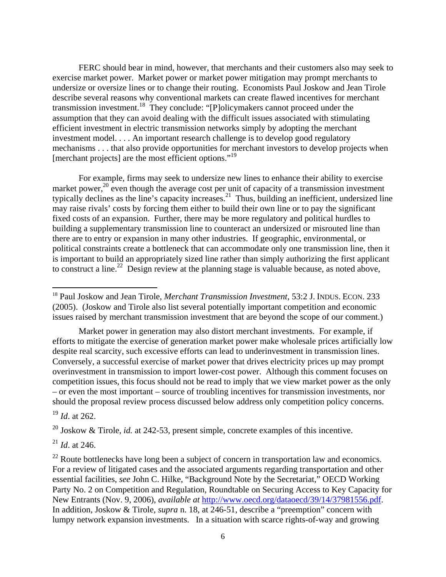FERC should bear in mind, however, that merchants and their customers also may seek to exercise market power. Market power or market power mitigation may prompt merchants to undersize or oversize lines or to change their routing. Economists Paul Joskow and Jean Tirole describe several reasons why conventional markets can create flawed incentives for merchant transmission investment.18 They conclude: "[P]olicymakers cannot proceed under the assumption that they can avoid dealing with the difficult issues associated with stimulating efficient investment in electric transmission networks simply by adopting the merchant investment model. . . . An important research challenge is to develop good regulatory mechanisms . . . that also provide opportunities for merchant investors to develop projects when [merchant projects] are the most efficient options."<sup>19</sup>

For example, firms may seek to undersize new lines to enhance their ability to exercise market power,<sup>20</sup> even though the average cost per unit of capacity of a transmission investment typically declines as the line's capacity increases.<sup>21</sup> Thus, building an inefficient, undersized line may raise rivals' costs by forcing them either to build their own line or to pay the significant fixed costs of an expansion. Further, there may be more regulatory and political hurdles to building a supplementary transmission line to counteract an undersized or misrouted line than there are to entry or expansion in many other industries. If geographic, environmental, or political constraints create a bottleneck that can accommodate only one transmission line, then it is important to build an appropriately sized line rather than simply authorizing the first applicant to construct a line.<sup>22</sup> Design review at the planning stage is valuable because, as noted above,

Market power in generation may also distort merchant investments. For example, if efforts to mitigate the exercise of generation market power make wholesale prices artificially low despite real scarcity, such excessive efforts can lead to underinvestment in transmission lines. Conversely, a successful exercise of market power that drives electricity prices up may prompt overinvestment in transmission to import lower-cost power. Although this comment focuses on competition issues, this focus should not be read to imply that we view market power as the only – or even the most important – source of troubling incentives for transmission investments, nor should the proposal review process discussed below address only competition policy concerns.

<sup>19</sup> *Id*. at 262.

<sup>20</sup> Joskow & Tirole, *id.* at 242-53, present simple, concrete examples of this incentive.

<sup>21</sup> *Id*. at 246.

<sup>18</sup> Paul Joskow and Jean Tirole, *Merchant Transmission Investment*, 53:2 J. INDUS. ECON. 233 (2005). (Joskow and Tirole also list several potentially important competition and economic issues raised by merchant transmission investment that are beyond the scope of our comment.)

 $^{22}$  Route bottlenecks have long been a subject of concern in transportation law and economics. For a review of litigated cases and the associated arguments regarding transportation and other essential facilities, *see* John C. Hilke, "Background Note by the Secretariat," OECD Working Party No. 2 on Competition and Regulation, Roundtable on Securing Access to Key Capacity for New Entrants (Nov. 9, 2006), *available at* http://www.oecd.org/dataoecd/39/14/37981556.pdf. In addition, Joskow & Tirole, *supra* n. 18, at 246-51, describe a "preemption" concern with lumpy network expansion investments. In a situation with scarce rights-of-way and growing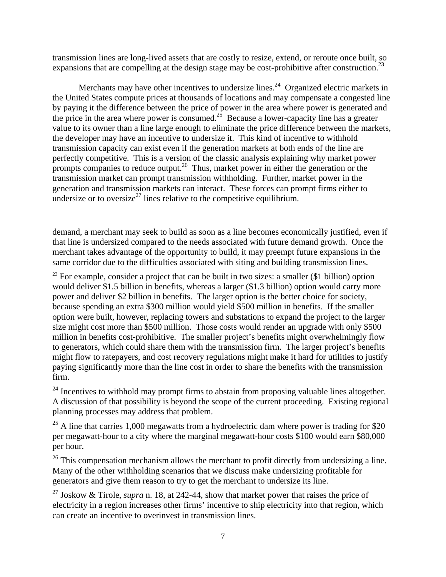transmission lines are long-lived assets that are costly to resize, extend, or reroute once built, so expansions that are compelling at the design stage may be cost-prohibitive after construction.<sup>23</sup>

Merchants may have other incentives to undersize lines.<sup>24</sup> Organized electric markets in the United States compute prices at thousands of locations and may compensate a congested line by paying it the difference between the price of power in the area where power is generated and the price in the area where power is consumed.<sup>25</sup> Because a lower-capacity line has a greater value to its owner than a line large enough to eliminate the price difference between the markets, the developer may have an incentive to undersize it. This kind of incentive to withhold transmission capacity can exist even if the generation markets at both ends of the line are perfectly competitive. This is a version of the classic analysis explaining why market power prompts companies to reduce output.<sup>26</sup> Thus, market power in either the generation or the transmission market can prompt transmission withholding. Further, market power in the generation and transmission markets can interact. These forces can prompt firms either to undersize or to oversize<sup>27</sup> lines relative to the competitive equilibrium.

demand, a merchant may seek to build as soon as a line becomes economically justified, even if that line is undersized compared to the needs associated with future demand growth. Once the merchant takes advantage of the opportunity to build, it may preempt future expansions in the same corridor due to the difficulties associated with siting and building transmission lines.

<u> 1989 - Johann Stein, marwolaethau a gweledydd a ganlad y ganlad y ganlad y ganlad y ganlad y ganlad y ganlad</u>

 $23$  For example, consider a project that can be built in two sizes: a smaller (\$1 billion) option would deliver \$1.5 billion in benefits, whereas a larger (\$1.3 billion) option would carry more power and deliver \$2 billion in benefits. The larger option is the better choice for society, because spending an extra \$300 million would yield \$500 million in benefits. If the smaller option were built, however, replacing towers and substations to expand the project to the larger size might cost more than \$500 million. Those costs would render an upgrade with only \$500 million in benefits cost-prohibitive. The smaller project's benefits might overwhelmingly flow to generators, which could share them with the transmission firm. The larger project's benefits might flow to ratepayers, and cost recovery regulations might make it hard for utilities to justify paying significantly more than the line cost in order to share the benefits with the transmission firm.

 $^{24}$  Incentives to withhold may prompt firms to abstain from proposing valuable lines altogether. A discussion of that possibility is beyond the scope of the current proceeding. Existing regional planning processes may address that problem.

 $25$  A line that carries 1,000 megawatts from a hydroelectric dam where power is trading for \$20 per megawatt-hour to a city where the marginal megawatt-hour costs \$100 would earn \$80,000 per hour.

 $26$  This compensation mechanism allows the merchant to profit directly from undersizing a line. Many of the other withholding scenarios that we discuss make undersizing profitable for generators and give them reason to try to get the merchant to undersize its line.

27 Joskow & Tirole, *supra* n. 18, at 242-44, show that market power that raises the price of electricity in a region increases other firms' incentive to ship electricity into that region, which can create an incentive to overinvest in transmission lines.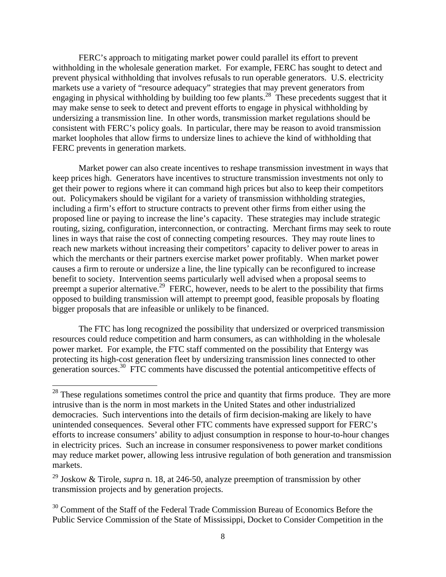FERC's approach to mitigating market power could parallel its effort to prevent withholding in the wholesale generation market. For example, FERC has sought to detect and prevent physical withholding that involves refusals to run operable generators. U.S. electricity markets use a variety of "resource adequacy" strategies that may prevent generators from engaging in physical withholding by building too few plants.<sup>28</sup> These precedents suggest that it may make sense to seek to detect and prevent efforts to engage in physical withholding by undersizing a transmission line. In other words, transmission market regulations should be consistent with FERC's policy goals. In particular, there may be reason to avoid transmission market loopholes that allow firms to undersize lines to achieve the kind of withholding that FERC prevents in generation markets.

Market power can also create incentives to reshape transmission investment in ways that keep prices high.Generators have incentives to structure transmission investments not only to get their power to regions where it can command high prices but also to keep their competitors out. Policymakers should be vigilant for a variety of transmission withholding strategies, including a firm's effort to structure contracts to prevent other firms from either using the proposed line or paying to increase the line's capacity. These strategies may include strategic routing, sizing, configuration, interconnection, or contracting. Merchant firms may seek to route lines in ways that raise the cost of connecting competing resources. They may route lines to reach new markets without increasing their competitors' capacity to deliver power to areas in which the merchants or their partners exercise market power profitably. When market power causes a firm to reroute or undersize a line, the line typically can be reconfigured to increase benefit to society. Intervention seems particularly well advised when a proposal seems to preempt a superior alternative.<sup>29</sup> FERC, however, needs to be alert to the possibility that firms opposed to building transmission will attempt to preempt good, feasible proposals by floating bigger proposals that are infeasible or unlikely to be financed.

The FTC has long recognized the possibility that undersized or overpriced transmission resources could reduce competition and harm consumers, as can withholding in the wholesale power market. For example, the FTC staff commented on the possibility that Entergy was protecting its high-cost generation fleet by undersizing transmission lines connected to other generation sources.<sup>30</sup> FTC comments have discussed the potential anticompetitive effects of

 $28$  These regulations sometimes control the price and quantity that firms produce. They are more intrusive than is the norm in most markets in the United States and other industrialized democracies. Such interventions into the details of firm decision-making are likely to have unintended consequences. Several other FTC comments have expressed support for FERC's efforts to increase consumers' ability to adjust consumption in response to hour-to-hour changes in electricity prices. Such an increase in consumer responsiveness to power market conditions may reduce market power, allowing less intrusive regulation of both generation and transmission markets.

<sup>29</sup> Joskow & Tirole, *supra* n. 18, at 246-50, analyze preemption of transmission by other transmission projects and by generation projects.

 $30$  Comment of the Staff of the Federal Trade Commission Bureau of Economics Before the Public Service Commission of the State of Mississippi, Docket to Consider Competition in the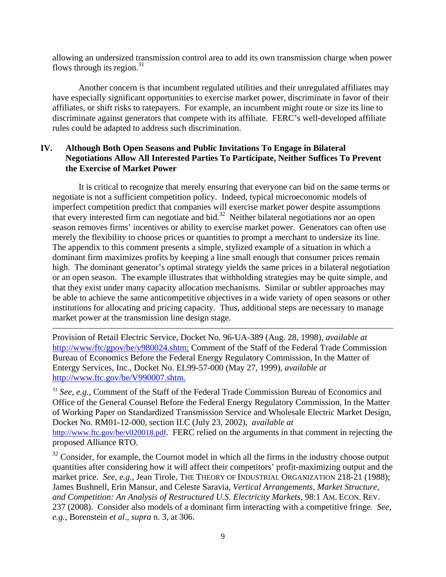allowing an undersized transmission control area to add its own transmission charge when power flows through its region. $31$ 

Another concern is that incumbent regulated utilities and their unregulated affiliates may have especially significant opportunities to exercise market power, discriminate in favor of their affiliates, or shift risks to ratepayers. For example, an incumbent might route or size its line to discriminate against generators that compete with its affiliate. FERC's well-developed affiliate rules could be adapted to address such discrimination.

# **IV. Although Both Open Seasons and Public Invitations To Engage in Bilateral Negotiations Allow All Interested Parties To Participate, Neither Suffices To Prevent the Exercise of Market Power**

It is critical to recognize that merely ensuring that everyone can bid on the same terms or negotiate is not a sufficient competition policy. Indeed, typical microeconomic models of imperfect competition predict that companies will exercise market power despite assumptions that every interested firm can negotiate and bid.32 Neither bilateral negotiations nor an open season removes firms' incentives or ability to exercise market power. Generators can often use merely the flexibility to choose prices or quantities to prompt a merchant to undersize its line. The appendix to this comment presents a simple, stylized example of a situation in which a dominant firm maximizes profits by keeping a line small enough that consumer prices remain high. The dominant generator's optimal strategy yields the same prices in a bilateral negotiation or an open season. The example illustrates that withholding strategies may be quite simple, and that they exist under many capacity allocation mechanisms. Similar or subtler approaches may be able to achieve the same anticompetitive objectives in a wide variety of open seasons or other institutions for allocating and pricing capacity. Thus, additional steps are necessary to manage market power at the transmission line design stage.

Provision of Retail Electric Service, Docket No. 96-UA-389 (Aug. 28, 1998), *available at* http://www/ftc/gpov/be/v980024.shtm; Comment of the Staff of the Federal Trade Commission Bureau of Economics Before the Federal Energy Regulatory Commission, In the Matter of Entergy Services, Inc., Docket No. EL99-57-000 (May 27, 1999), *available at* http://www.ftc.gov/be/V990007.shtm.

<u> 1989 - Johann Stein, marwolaethau a gweledydd a ganlad y ganlad y ganlad y ganlad y ganlad y ganlad y ganlad</u>

<sup>31</sup> *See*, *e.g.*, Comment of the Staff of the Federal Trade Commission Bureau of Economics and Office of the General Counsel Before the Federal Energy Regulatory Commission, In the Matter of Working Paper on Standardized Transmission Service and Wholesale Electric Market Design, Docket No. RM01-12-000, section II.C (July 23, 2002), *available at* http://www.ftc.gov/be/v020018.pdf. FERC relied on the arguments in that comment in rejecting the proposed Alliance RTO.

 $32$  Consider, for example, the Cournot model in which all the firms in the industry choose output quantities after considering how it will affect their competitors' profit-maximizing output and the market price. *See*, *e.g.*, Jean Tirole, THE THEORY OF INDUSTRIAL ORGANIZATION 218-21 (1988); James Bushnell, Erin Mansur, and Celeste Saravia, *Vertical Arrangements, Market Structure, and Competition: An Analysis of Restructured U.S. Electricity Markets*, 98:1 AM. ECON. REV. 237 (2008). Consider also models of a dominant firm interacting with a competitive fringe. *See*, *e.g.*, Borenstein *et al*., *supra* n. 3, at 306.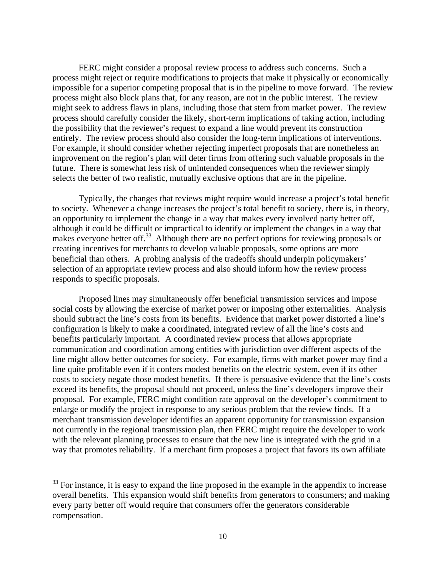FERC might consider a proposal review process to address such concerns. Such a process might reject or require modifications to projects that make it physically or economically impossible for a superior competing proposal that is in the pipeline to move forward. The review process might also block plans that, for any reason, are not in the public interest. The review might seek to address flaws in plans, including those that stem from market power. The review process should carefully consider the likely, short-term implications of taking action, including the possibility that the reviewer's request to expand a line would prevent its construction entirely. The review process should also consider the long-term implications of interventions. For example, it should consider whether rejecting imperfect proposals that are nonetheless an improvement on the region's plan will deter firms from offering such valuable proposals in the future. There is somewhat less risk of unintended consequences when the reviewer simply selects the better of two realistic, mutually exclusive options that are in the pipeline.

Typically, the changes that reviews might require would increase a project's total benefit to society. Whenever a change increases the project's total benefit to society, there is, in theory, an opportunity to implement the change in a way that makes every involved party better off, although it could be difficult or impractical to identify or implement the changes in a way that makes everyone better off.<sup>33</sup> Although there are no perfect options for reviewing proposals or creating incentives for merchants to develop valuable proposals, some options are more beneficial than others. A probing analysis of the tradeoffs should underpin policymakers' selection of an appropriate review process and also should inform how the review process responds to specific proposals.

Proposed lines may simultaneously offer beneficial transmission services and impose social costs by allowing the exercise of market power or imposing other externalities. Analysis should subtract the line's costs from its benefits. Evidence that market power distorted a line's configuration is likely to make a coordinated, integrated review of all the line's costs and benefits particularly important. A coordinated review process that allows appropriate communication and coordination among entities with jurisdiction over different aspects of the line might allow better outcomes for society. For example, firms with market power may find a line quite profitable even if it confers modest benefits on the electric system, even if its other costs to society negate those modest benefits. If there is persuasive evidence that the line's costs exceed its benefits, the proposal should not proceed, unless the line's developers improve their proposal. For example, FERC might condition rate approval on the developer's commitment to enlarge or modify the project in response to any serious problem that the review finds. If a merchant transmission developer identifies an apparent opportunity for transmission expansion not currently in the regional transmission plan, then FERC might require the developer to work with the relevant planning processes to ensure that the new line is integrated with the grid in a way that promotes reliability. If a merchant firm proposes a project that favors its own affiliate

 $33$  For instance, it is easy to expand the line proposed in the example in the appendix to increase overall benefits. This expansion would shift benefits from generators to consumers; and making every party better off would require that consumers offer the generators considerable compensation.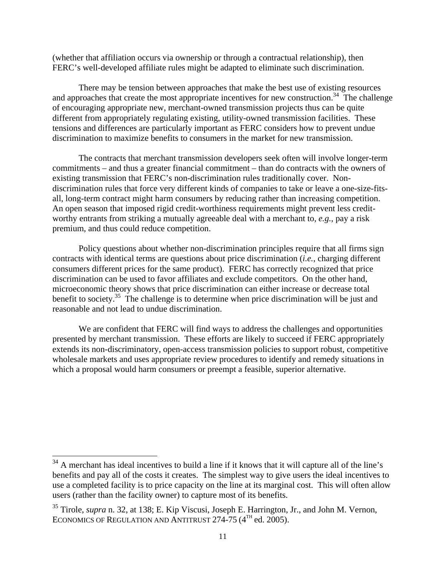(whether that affiliation occurs via ownership or through a contractual relationship), then FERC's well-developed affiliate rules might be adapted to eliminate such discrimination.

There may be tension between approaches that make the best use of existing resources and approaches that create the most appropriate incentives for new construction.<sup>34</sup> The challenge of encouraging appropriate new, merchant-owned transmission projects thus can be quite different from appropriately regulating existing, utility-owned transmission facilities. These tensions and differences are particularly important as FERC considers how to prevent undue discrimination to maximize benefits to consumers in the market for new transmission.

The contracts that merchant transmission developers seek often will involve longer-term commitments – and thus a greater financial commitment – than do contracts with the owners of existing transmission that FERC's non-discrimination rules traditionally cover. Nondiscrimination rules that force very different kinds of companies to take or leave a one-size-fitsall, long-term contract might harm consumers by reducing rather than increasing competition. An open season that imposed rigid credit-worthiness requirements might prevent less creditworthy entrants from striking a mutually agreeable deal with a merchant to, *e.g.*, pay a risk premium, and thus could reduce competition.

Policy questions about whether non-discrimination principles require that all firms sign contracts with identical terms are questions about price discrimination (*i.e.*, charging different consumers different prices for the same product). FERC has correctly recognized that price discrimination can be used to favor affiliates and exclude competitors. On the other hand, microeconomic theory shows that price discrimination can either increase or decrease total benefit to society.<sup>35</sup> The challenge is to determine when price discrimination will be just and reasonable and not lead to undue discrimination.

We are confident that FERC will find ways to address the challenges and opportunities presented by merchant transmission. These efforts are likely to succeed if FERC appropriately extends its non-discriminatory, open-access transmission policies to support robust, competitive wholesale markets and uses appropriate review procedures to identify and remedy situations in which a proposal would harm consumers or preempt a feasible, superior alternative.

 $34$  A merchant has ideal incentives to build a line if it knows that it will capture all of the line's benefits and pay all of the costs it creates. The simplest way to give users the ideal incentives to use a completed facility is to price capacity on the line at its marginal cost. This will often allow users (rather than the facility owner) to capture most of its benefits.

<sup>35</sup> Tirole, *supra* n. 32, at 138; E. Kip Viscusi, Joseph E. Harrington, Jr., and John M. Vernon, ECONOMICS OF REGULATION AND ANTITRUST  $274-75$  ( $4<sup>TH</sup>$  ed. 2005).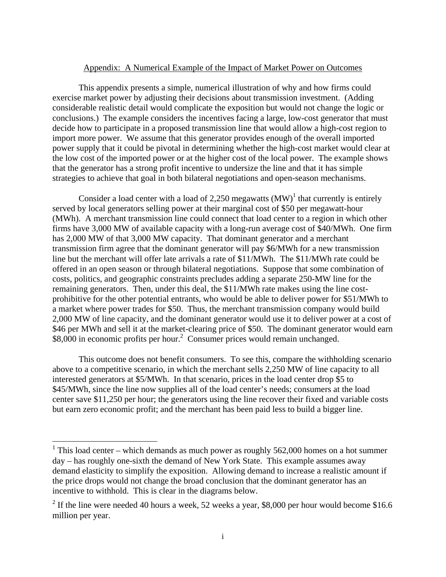#### Appendix: A Numerical Example of the Impact of Market Power on Outcomes

This appendix presents a simple, numerical illustration of why and how firms could exercise market power by adjusting their decisions about transmission investment. (Adding considerable realistic detail would complicate the exposition but would not change the logic or conclusions.) The example considers the incentives facing a large, low-cost generator that must decide how to participate in a proposed transmission line that would allow a high-cost region to import more power. We assume that this generator provides enough of the overall imported power supply that it could be pivotal in determining whether the high-cost market would clear at the low cost of the imported power or at the higher cost of the local power. The example shows that the generator has a strong profit incentive to undersize the line and that it has simple strategies to achieve that goal in both bilateral negotiations and open-season mechanisms.

Consider a load center with a load of 2,250 megawatts  $(MW)^{1}$  that currently is entirely served by local generators selling power at their marginal cost of \$50 per megawatt-hour (MWh). A merchant transmission line could connect that load center to a region in which other firms have 3,000 MW of available capacity with a long-run average cost of \$40/MWh. One firm has 2,000 MW of that 3,000 MW capacity. That dominant generator and a merchant transmission firm agree that the dominant generator will pay \$6/MWh for a new transmission line but the merchant will offer late arrivals a rate of \$11/MWh. The \$11/MWh rate could be offered in an open season or through bilateral negotiations. Suppose that some combination of costs, politics, and geographic constraints precludes adding a separate 250-MW line for the remaining generators. Then, under this deal, the \$11/MWh rate makes using the line costprohibitive for the other potential entrants, who would be able to deliver power for \$51/MWh to a market where power trades for \$50. Thus, the merchant transmission company would build 2,000 MW of line capacity, and the dominant generator would use it to deliver power at a cost of \$46 per MWh and sell it at the market-clearing price of \$50. The dominant generator would earn \$8,000 in economic profits per hour.<sup>2</sup> Consumer prices would remain unchanged.

This outcome does not benefit consumers. To see this, compare the withholding scenario above to a competitive scenario, in which the merchant sells 2,250 MW of line capacity to all interested generators at \$5/MWh. In that scenario, prices in the load center drop \$5 to \$45/MWh, since the line now supplies all of the load center's needs; consumers at the load center save \$11,250 per hour; the generators using the line recover their fixed and variable costs but earn zero economic profit; and the merchant has been paid less to build a bigger line.

<sup>&</sup>lt;sup>1</sup> This load center – which demands as much power as roughly 562,000 homes on a hot summer day – has roughly one-sixth the demand of New York State. This example assumes away demand elasticity to simplify the exposition. Allowing demand to increase a realistic amount if the price drops would not change the broad conclusion that the dominant generator has an incentive to withhold. This is clear in the diagrams below.

<sup>&</sup>lt;sup>2</sup> If the line were needed 40 hours a week, 52 weeks a year, \$8,000 per hour would become \$16.6 million per year.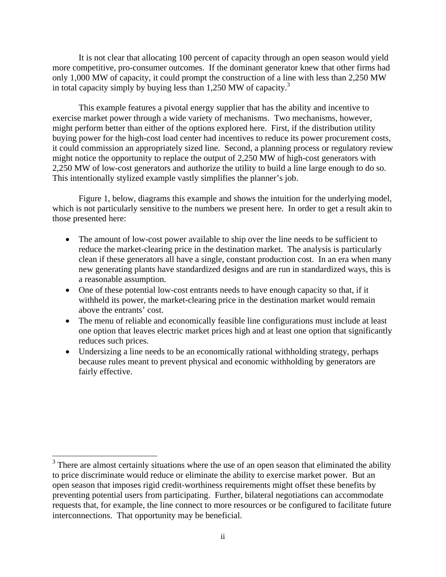It is not clear that allocating 100 percent of capacity through an open season would yield more competitive, pro-consumer outcomes. If the dominant generator knew that other firms had only 1,000 MW of capacity, it could prompt the construction of a line with less than 2,250 MW in total capacity simply by buying less than 1,250 MW of capacity.3

This example features a pivotal energy supplier that has the ability and incentive to exercise market power through a wide variety of mechanisms. Two mechanisms, however, might perform better than either of the options explored here. First, if the distribution utility buying power for the high-cost load center had incentives to reduce its power procurement costs, it could commission an appropriately sized line. Second, a planning process or regulatory review might notice the opportunity to replace the output of 2,250 MW of high-cost generators with 2,250 MW of low-cost generators and authorize the utility to build a line large enough to do so. This intentionally stylized example vastly simplifies the planner's job.

Figure 1, below, diagrams this example and shows the intuition for the underlying model, which is not particularly sensitive to the numbers we present here. In order to get a result akin to those presented here:

- The amount of low-cost power available to ship over the line needs to be sufficient to reduce the market-clearing price in the destination market. The analysis is particularly clean if these generators all have a single, constant production cost. In an era when many new generating plants have standardized designs and are run in standardized ways, this is a reasonable assumption.
- One of these potential low-cost entrants needs to have enough capacity so that, if it withheld its power, the market-clearing price in the destination market would remain above the entrants' cost.
- The menu of reliable and economically feasible line configurations must include at least one option that leaves electric market prices high and at least one option that significantly reduces such prices.
- Undersizing a line needs to be an economically rational withholding strategy, perhaps because rules meant to prevent physical and economic withholding by generators are fairly effective.

<sup>&</sup>lt;sup>3</sup> There are almost certainly situations where the use of an open season that eliminated the ability to price discriminate would reduce or eliminate the ability to exercise market power. But an open season that imposes rigid credit-worthiness requirements might offset these benefits by preventing potential users from participating. Further, bilateral negotiations can accommodate requests that, for example, the line connect to more resources or be configured to facilitate future interconnections. That opportunity may be beneficial.